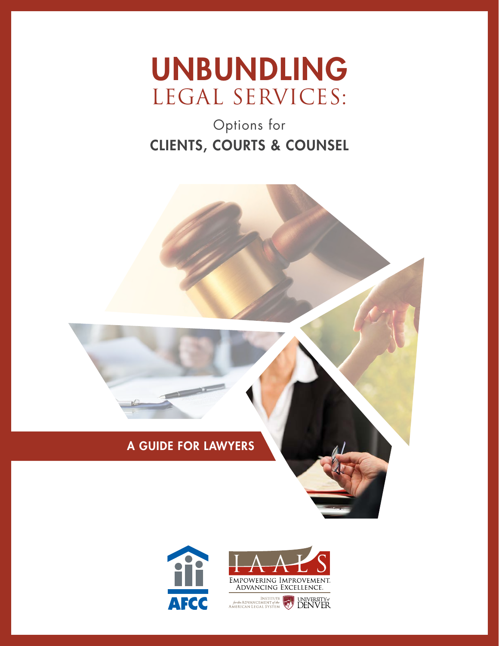

# Options for CLIENTS, COURTS & COUNSEL



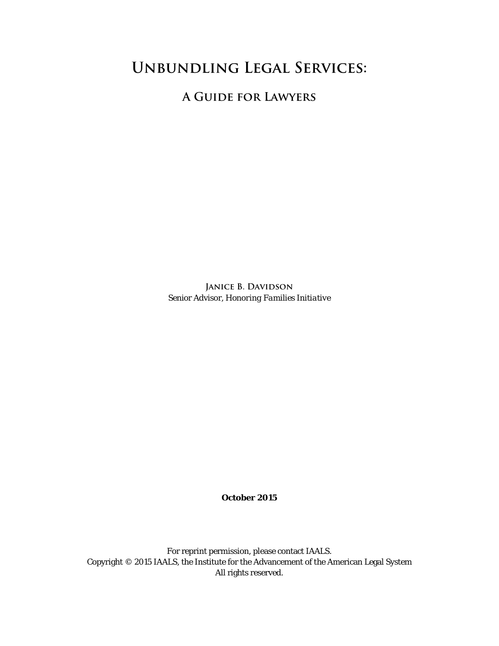# **Unbundling Legal Services:**

**A Guide for Lawyers**

JANICE **B.** DAVIDSON Senior Advisor, *Honoring Families Initiative*

**October 2015**

For reprint permission, please contact IAALS. Copyright © 2015 IAALS, the Institute for the Advancement of the American Legal System All rights reserved.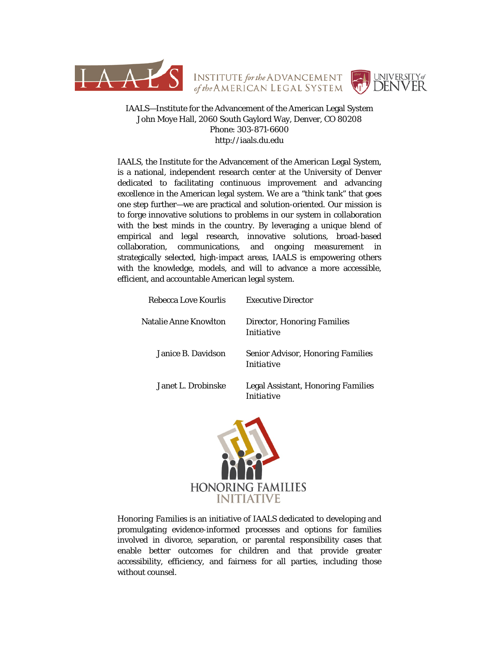



#### IAALS—Institute for the Advancement of the American Legal System John Moye Hall, 2060 South Gaylord Way, Denver, CO 80208 Phone: 303-871-6600 http://iaals.du.edu

IAALS, the Institute for the Advancement of the American Legal System, is a national, independent research center at the University of Denver dedicated to facilitating continuous improvement and advancing excellence in the American legal system. We are a "think tank" that goes one step further—we are practical and solution-oriented. Our mission is to forge innovative solutions to problems in our system in collaboration with the best minds in the country. By leveraging a unique blend of empirical and legal research, innovative solutions, broad-based collaboration, communications, and ongoing measurement in strategically selected, high-impact areas, IAALS is empowering others with the knowledge, models, and will to advance a more accessible, efficient, and accountable American legal system.

| Rebecca Love Kourlis  | <b>Executive Director</b>                               |
|-----------------------|---------------------------------------------------------|
| Natalie Anne Knowlton | Director, Honoring Families<br><i>Initiative</i>        |
| Janice B. Davidson    | Senior Advisor, Honoring Families<br><i>Initiative</i>  |
| Janet L. Drobinske    | Legal Assistant, <i>Honoring Families</i><br>Initiative |



*Honoring Families* is an initiative of IAALS dedicated to developing and promulgating evidence-informed processes and options for families involved in divorce, separation, or parental responsibility cases that enable better outcomes for children and that provide greater accessibility, efficiency, and fairness for all parties, including those without counsel.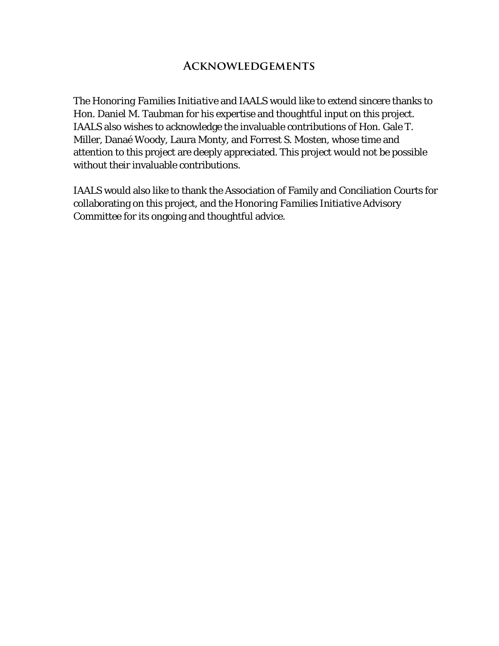## **Acknowledgements**

The *Honoring Families Initiative* and IAALS would like to extend sincere thanks to Hon. Daniel M. Taubman for his expertise and thoughtful input on this project. IAALS also wishes to acknowledge the invaluable contributions of Hon. Gale T. Miller, Danaé Woody, Laura Monty, and Forrest S. Mosten, whose time and attention to this project are deeply appreciated. This project would not be possible without their invaluable contributions.

IAALS would also like to thank the Association of Family and Conciliation Courts for collaborating on this project, and the *Honoring Families Initiative* Advisory Committee for its ongoing and thoughtful advice.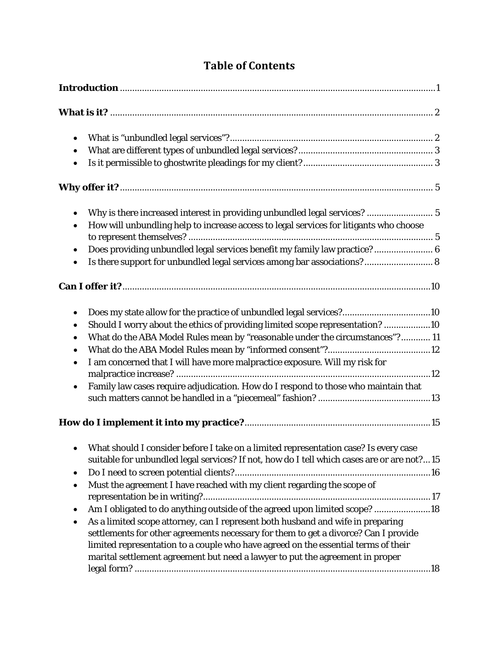| $\bullet$                                                                                                                                                                                                                                                                                                                                                                                                                                                                                                                                                                                                                                                                                                                                     |  |  |
|-----------------------------------------------------------------------------------------------------------------------------------------------------------------------------------------------------------------------------------------------------------------------------------------------------------------------------------------------------------------------------------------------------------------------------------------------------------------------------------------------------------------------------------------------------------------------------------------------------------------------------------------------------------------------------------------------------------------------------------------------|--|--|
|                                                                                                                                                                                                                                                                                                                                                                                                                                                                                                                                                                                                                                                                                                                                               |  |  |
|                                                                                                                                                                                                                                                                                                                                                                                                                                                                                                                                                                                                                                                                                                                                               |  |  |
| Why is there increased interest in providing unbundled legal services?  5<br>$\bullet$<br>How will unbundling help to increase access to legal services for litigants who choose                                                                                                                                                                                                                                                                                                                                                                                                                                                                                                                                                              |  |  |
| Does providing unbundled legal services benefit my family law practice? 6<br>$\bullet$<br>Is there support for unbundled legal services among bar associations? 8                                                                                                                                                                                                                                                                                                                                                                                                                                                                                                                                                                             |  |  |
|                                                                                                                                                                                                                                                                                                                                                                                                                                                                                                                                                                                                                                                                                                                                               |  |  |
| Does my state allow for the practice of unbundled legal services?10<br>$\bullet$<br>Should I worry about the ethics of providing limited scope representation? 10<br>$\bullet$<br>What do the ABA Model Rules mean by "reasonable under the circumstances"? 11<br>$\bullet$<br>$\bullet$<br>I am concerned that I will have more malpractice exposure. Will my risk for<br>$\bullet$<br>Family law cases require adjudication. How do I respond to those who maintain that                                                                                                                                                                                                                                                                    |  |  |
| What should I consider before I take on a limited representation case? Is every case<br>$\bullet$<br>suitable for unbundled legal services? If not, how do I tell which cases are or are not?15<br>٠<br>Must the agreement I have reached with my client regarding the scope of<br>$\bullet$<br>Am I obligated to do anything outside of the agreed upon limited scope? 18<br>٠<br>As a limited scope attorney, can I represent both husband and wife in preparing<br>$\bullet$<br>settlements for other agreements necessary for them to get a divorce? Can I provide<br>limited representation to a couple who have agreed on the essential terms of their<br>marital settlement agreement but need a lawyer to put the agreement in proper |  |  |

# **Table of Contents**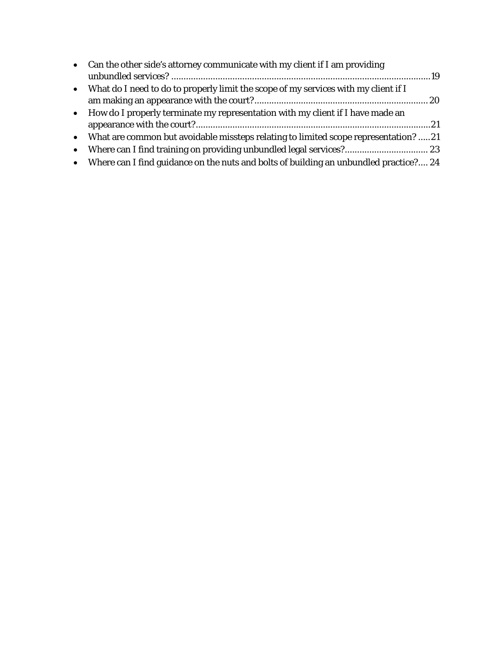| • Can the other side's attorney communicate with my client if I am providing            |  |
|-----------------------------------------------------------------------------------------|--|
|                                                                                         |  |
| • What do I need to do to properly limit the scope of my services with my client if I   |  |
|                                                                                         |  |
| • How do I properly terminate my representation with my client if I have made an        |  |
|                                                                                         |  |
| • What are common but avoidable missteps relating to limited scope representation?  21  |  |
| • Where can I find training on providing unbundled legal services? 23                   |  |
| • Where can I find guidance on the nuts and bolts of building an unbundled practice? 24 |  |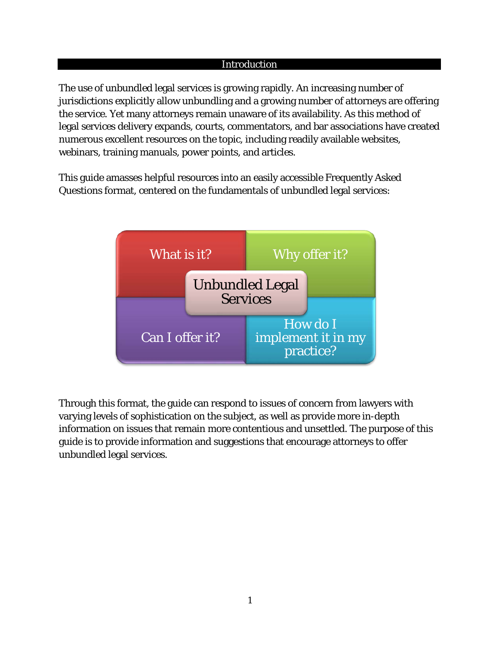#### Introduction

<span id="page-6-0"></span>The use of unbundled legal services is growing rapidly. An increasing number of jurisdictions explicitly allow unbundling and a growing number of attorneys are offering the service. Yet many attorneys remain unaware of its availability. As this method of legal services delivery expands, courts, commentators, and bar associations have created numerous excellent resources on the topic, including readily available websites, webinars, training manuals, power points, and articles.

This guide amasses helpful resources into an easily accessible Frequently Asked Questions format, centered on the fundamentals of unbundled legal services:



Through this format, the guide can respond to issues of concern from lawyers with varying levels of sophistication on the subject, as well as provide more in-depth information on issues that remain more contentious and unsettled. The purpose of this guide is to provide information and suggestions that encourage attorneys to offer unbundled legal services.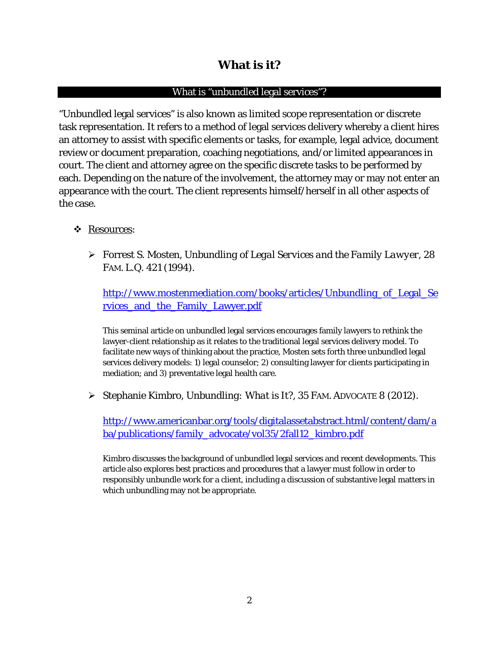## **What is it?**

## What is "unbundled legal services"?

<span id="page-7-1"></span><span id="page-7-0"></span>"Unbundled legal services" is also known as limited scope representation or discrete task representation. It refers to a method of legal services delivery whereby a client hires an attorney to assist with specific elements or tasks, for example, legal advice, document review or document preparation, coaching negotiations, and/or limited appearances in court. The client and attorney agree on the specific discrete tasks to be performed by each. Depending on the nature of the involvement, the attorney may or may not enter an appearance with the court. The client represents himself/herself in all other aspects of the case.

## Resources:

 Forrest S. Mosten, *Unbundling of Legal Services and the Family Lawyer*, 28 FAM. L.Q. 421 (1994).

[http://www.mostenmediation.com/books/articles/Unbundling\\_of\\_Legal\\_Se](http://www.mostenmediation.com/books/articles/Unbundling_of_Legal_Services_and_the_Family_Lawyer.pdf) rvices and the Family Lawyer.pdf

This seminal article on unbundled legal services encourages family lawyers to rethink the lawyer-client relationship as it relates to the traditional legal services delivery model. To facilitate new ways of thinking about the practice, Mosten sets forth three unbundled legal services delivery models: 1) legal counselor; 2) consulting lawyer for clients participating in mediation; and 3) preventative legal health care.

Stephanie Kimbro, *Unbundling: What is It?*, 35 FAM. ADVOCATE 8 (2012).

[http://www.americanbar.org/tools/digitalassetabstract.html/content/dam/a](http://www.americanbar.org/tools/digitalassetabstract.html/content/dam/aba/publications/family_advocate/vol35/2fall12_kimbro.pdf) [ba/publications/family\\_advocate/vol35/2fall12\\_kimbro.pdf](http://www.americanbar.org/tools/digitalassetabstract.html/content/dam/aba/publications/family_advocate/vol35/2fall12_kimbro.pdf)

Kimbro discusses the background of unbundled legal services and recent developments. This article also explores best practices and procedures that a lawyer must follow in order to responsibly unbundle work for a client, including a discussion of substantive legal matters in which unbundling may not be appropriate.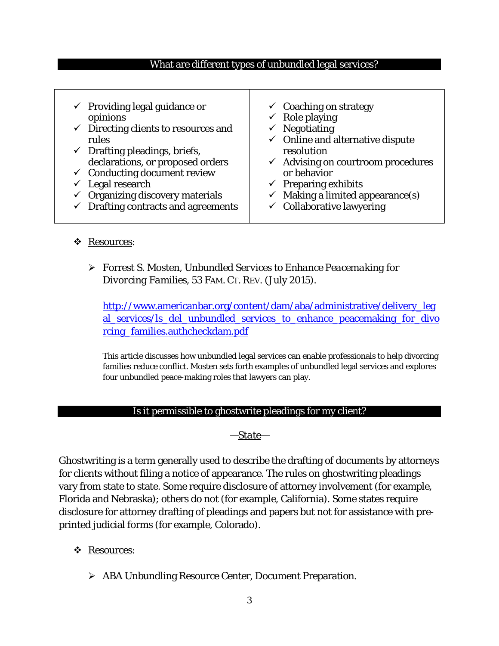## <span id="page-8-0"></span>What are different types of unbundled legal services?

| $\checkmark$ Providing legal guidance or<br>opinions | $\checkmark$ Coaching on strategy<br>$\checkmark$ Role playing |
|------------------------------------------------------|----------------------------------------------------------------|
| $\checkmark$ Directing clients to resources and      | $\checkmark$ Negotiating                                       |
| rules                                                | $\checkmark$ Online and alternative dispute                    |
| $\checkmark$ Drafting pleadings, briefs,             | resolution                                                     |
| declarations, or proposed orders                     | $\checkmark$ Advising on courtroom procedures                  |
| $\checkmark$ Conducting document review              | or behavior                                                    |
| $\checkmark$ Legal research                          | $\checkmark$ Preparing exhibits                                |
| $\checkmark$ Organizing discovery materials          | $\checkmark$ Making a limited appearance(s)                    |
| $\checkmark$ Drafting contracts and agreements       | $\checkmark$ Collaborative lawyering                           |

#### Resources:

## Forrest S. Mosten, *Unbundled Services to Enhance Peacemaking for Divorcing Families*, 53 FAM. CT. REV. (July 2015).

[http://www.americanbar.org/content/dam/aba/administrative/delivery\\_leg](http://www.americanbar.org/content/dam/aba/administrative/delivery_legal_services/ls_del_unbundled_services_to_enhance_peacemaking_for_divorcing_families.authcheckdam.pdf) al services/ls del unbundled services to enhance peacemaking for divo [rcing\\_families.authcheckdam.pdf](http://www.americanbar.org/content/dam/aba/administrative/delivery_legal_services/ls_del_unbundled_services_to_enhance_peacemaking_for_divorcing_families.authcheckdam.pdf)

This article discusses how unbundled legal services can enable professionals to help divorcing families reduce conflict. Mosten sets forth examples of unbundled legal services and explores four unbundled peace-making roles that lawyers can play.

#### Is it permissible to ghostwrite pleadings for my client?

#### *—State—*

<span id="page-8-1"></span>Ghostwriting is a term generally used to describe the drafting of documents by attorneys for clients without filing a notice of appearance. The rules on ghostwriting pleadings vary from state to state. Some require disclosure of attorney involvement (for example, Florida and Nebraska); others do not (for example, California). Some states require disclosure for attorney drafting of pleadings and papers but not for assistance with preprinted judicial forms (for example, Colorado).

## Resources:

ABA Unbundling Resource Center, Document Preparation.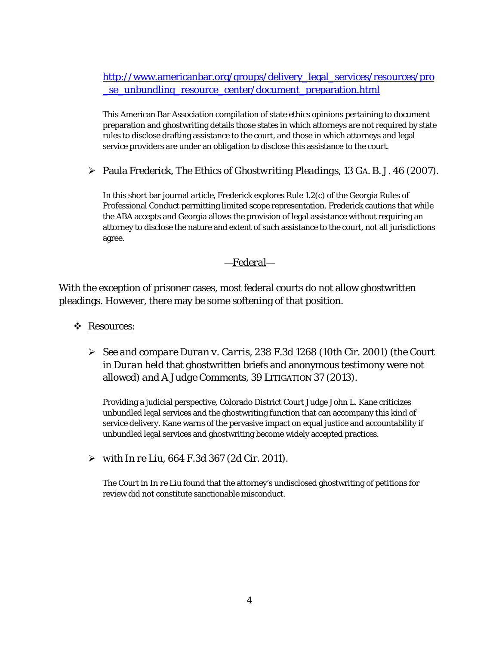[http://www.americanbar.org/groups/delivery\\_legal\\_services/resources/pro](http://www.americanbar.org/groups/delivery_legal_services/resources/pro_se_unbundling_resource_center/document_preparation.html) [\\_se\\_unbundling\\_resource\\_center/document\\_preparation.html](http://www.americanbar.org/groups/delivery_legal_services/resources/pro_se_unbundling_resource_center/document_preparation.html)

This American Bar Association compilation of state ethics opinions pertaining to document preparation and ghostwriting details those states in which attorneys are not required by state rules to disclose drafting assistance to the court, and those in which attorneys and legal service providers are under an obligation to disclose this assistance to the court.

Paula Frederick, *The Ethics of Ghostwriting Pleadings*, 13 GA. B. J. 46 (2007).

In this short bar journal article, Frederick explores Rule 1.2(c) of the Georgia Rules of Professional Conduct permitting limited scope representation. Frederick cautions that while the ABA accepts and Georgia allows the provision of legal assistance without requiring an attorney to disclose the nature and extent of such assistance to the court, not all jurisdictions agree.

## *—Federal—*

With the exception of prisoner cases, most federal courts do not allow ghostwritten pleadings. However, there may be some softening of that position.

- Resources:
	- *See and compare Duran v. Carris*, 238 F.3d 1268 (10th Cir. 2001) (the Court in *Duran* held that ghostwritten briefs and anonymous testimony were not allowed) *and A Judge Comments*, 39 LITIGATION 37 (2013).

Providing a judicial perspective, Colorado District Court Judge John L. Kane criticizes unbundled legal services and the ghostwriting function that can accompany this kind of service delivery. Kane warns of the pervasive impact on equal justice and accountability if unbundled legal services and ghostwriting become widely accepted practices.

*with In re Liu*, 664 F.3d 367 (2d Cir. 2011).

The Court in *In re Liu* found that the attorney's undisclosed ghostwriting of petitions for review did not constitute sanctionable misconduct.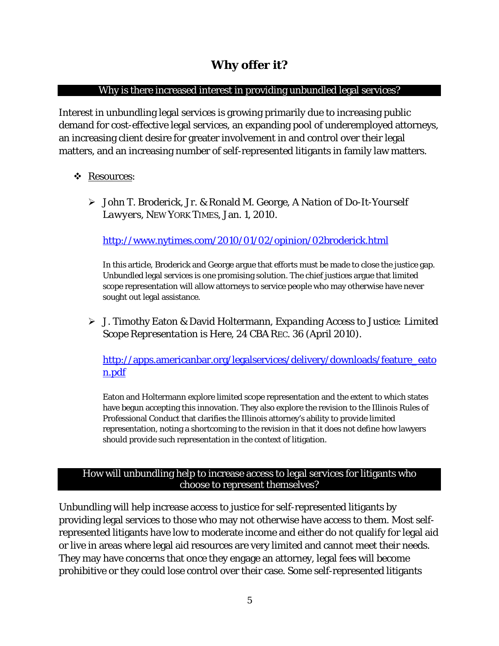## **Why offer it?**

### <span id="page-10-0"></span>Why is there increased interest in providing unbundled legal services?

<span id="page-10-1"></span>Interest in unbundling legal services is growing primarily due to increasing public demand for cost-effective legal services, an expanding pool of underemployed attorneys, an increasing client desire for greater involvement in and control over their legal matters, and an increasing number of self-represented litigants in family law matters.

## Resources:

 John T. Broderick, Jr. & Ronald M. George, *A Nation of Do-It-Yourself Lawyers*, NEW YORK TIMES, Jan. 1, 2010.

<http://www.nytimes.com/2010/01/02/opinion/02broderick.html>

In this article, Broderick and George argue that efforts must be made to close the justice gap. Unbundled legal services is one promising solution. The chief justices argue that limited scope representation will allow attorneys to service people who may otherwise have never sought out legal assistance.

 J. Timothy Eaton & David Holtermann, *Expanding Access to Justice: Limited Scope Representation is Here*, 24 CBA REC. 36 (April 2010).

[http://apps.americanbar.org/legalservices/delivery/downloads/feature\\_eato](http://apps.americanbar.org/legalservices/delivery/downloads/feature_eaton.pdf) [n.pdf](http://apps.americanbar.org/legalservices/delivery/downloads/feature_eaton.pdf)

Eaton and Holtermann explore limited scope representation and the extent to which states have begun accepting this innovation. They also explore the revision to the Illinois Rules of Professional Conduct that clarifies the Illinois attorney's ability to provide limited representation, noting a shortcoming to the revision in that it does not define how lawyers should provide such representation in the context of litigation.

#### <span id="page-10-2"></span>How will unbundling help to increase access to legal services for litigants who choose to represent themselves?

Unbundling will help increase access to justice for self-represented litigants by providing legal services to those who may not otherwise have access to them. Most selfrepresented litigants have low to moderate income and either do not qualify for legal aid or live in areas where legal aid resources are very limited and cannot meet their needs. They may have concerns that once they engage an attorney, legal fees will become prohibitive or they could lose control over their case. Some self-represented litigants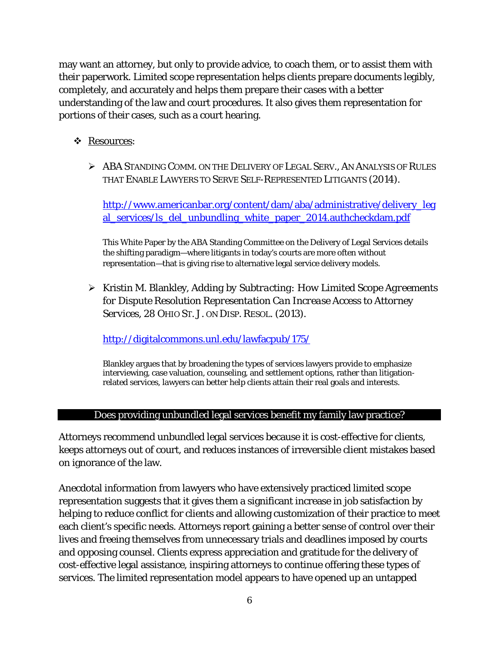may want an attorney, but only to provide advice, to coach them, or to assist them with their paperwork. Limited scope representation helps clients prepare documents legibly, completely, and accurately and helps them prepare their cases with a better understanding of the law and court procedures. It also gives them representation for portions of their cases, such as a court hearing.

- Resources:
	- $\triangleright$  ABA STANDING COMM. ON THE DELIVERY OF LEGAL SERV.. AN ANALYSIS OF RULES THAT ENABLE LAWYERS TO SERVE SELF-REPRESENTED LITIGANTS (2014).

http://www.americanbar.org/content/dam/aba/administrative/delivery\_leg al\_services/ls\_del\_unbundling\_white\_paper\_2014.authcheckdam.pdf

This White Paper by the ABA Standing Committee on the Delivery of Legal Services details the shifting paradigm—where litigants in today's courts are more often without representation—that is giving rise to alternative legal service delivery models.

 Kristin M. Blankley, *Adding by Subtracting: How Limited Scope Agreements for Dispute Resolution Representation Can Increase Access to Attorney Services*, 28 OHIO ST. J. ON DISP. RESOL. (2013).

<http://digitalcommons.unl.edu/lawfacpub/175/>

Blankley argues that by broadening the types of services lawyers provide to emphasize interviewing, case valuation, counseling, and settlement options, rather than litigationrelated services, lawyers can better help clients attain their real goals and interests.

## Does providing unbundled legal services benefit my family law practice?

<span id="page-11-0"></span>Attorneys recommend unbundled legal services because it is cost-effective for clients, keeps attorneys out of court, and reduces instances of irreversible client mistakes based on ignorance of the law.

Anecdotal information from lawyers who have extensively practiced limited scope representation suggests that it gives them a significant increase in job satisfaction by helping to reduce conflict for clients and allowing customization of their practice to meet each client's specific needs. Attorneys report gaining a better sense of control over their lives and freeing themselves from unnecessary trials and deadlines imposed by courts and opposing counsel. Clients express appreciation and gratitude for the delivery of cost-effective legal assistance, inspiring attorneys to continue offering these types of services. The limited representation model appears to have opened up an untapped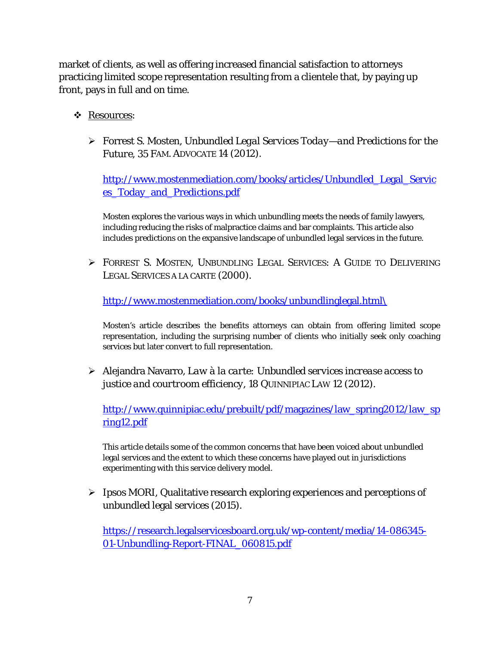market of clients, as well as offering increased financial satisfaction to attorneys practicing limited scope representation resulting from a clientele that, by paying up front, pays in full and on time.

- Resources:
	- Forrest S. Mosten, *Unbundled Legal Services Today—and Predictions for the Future*, 35 FAM. ADVOCATE 14 (2012).

[http://www.mostenmediation.com/books/articles/Unbundled\\_Legal\\_Servic](http://www.mostenmediation.com/books/articles/Unbundled_Legal_Services_Today_and_Predictions.pdf) [es\\_Today\\_and\\_Predictions.pdf](http://www.mostenmediation.com/books/articles/Unbundled_Legal_Services_Today_and_Predictions.pdf)

Mosten explores the various ways in which unbundling meets the needs of family lawyers, including reducing the risks of malpractice claims and bar complaints. This article also includes predictions on the expansive landscape of unbundled legal services in the future.

 FORREST S. MOSTEN, UNBUNDLING LEGAL SERVICES: A GUIDE TO DELIVERING LEGAL SERVICES A LA CARTE (2000).

[http://www.mostenmediation.com/books/unbundlinglegal.html\](http://www.mostenmediation.com/books/unbundlinglegal.html/)

Mosten's article describes the benefits attorneys can obtain from offering limited scope representation, including the surprising number of clients who initially seek only coaching services but later convert to full representation.

 Alejandra Navarro, *Law à la carte: Unbundled services increase access to justice and courtroom efficiency*, 18 QUINNIPIAC LAW 12 (2012).

[http://www.quinnipiac.edu/prebuilt/pdf/magazines/law\\_spring2012/law\\_sp](http://www.quinnipiac.edu/prebuilt/pdf/magazines/law_spring2012/law_spring12.pdf) [ring12.pdf](http://www.quinnipiac.edu/prebuilt/pdf/magazines/law_spring2012/law_spring12.pdf)

This article details some of the common concerns that have been voiced about unbundled legal services and the extent to which these concerns have played out in jurisdictions experimenting with this service delivery model.

 $\triangleright$  Ipsos MORI, Qualitative research exploring experiences and perceptions of unbundled legal services (2015).

[https://research.legalservicesboard.org.uk/wp-content/media/14-086345-](https://research.legalservicesboard.org.uk/wp-content/media/14-086345-01-Unbundling-Report-FINAL_060815.pdf) [01-Unbundling-Report-FINAL\\_060815.pdf](https://research.legalservicesboard.org.uk/wp-content/media/14-086345-01-Unbundling-Report-FINAL_060815.pdf)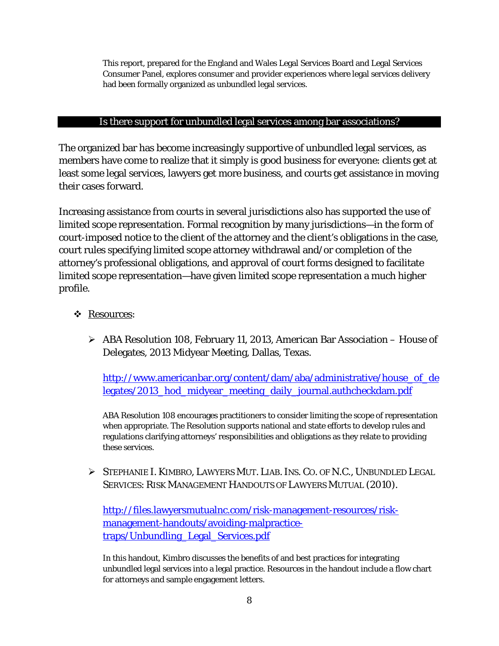This report, prepared for the England and Wales Legal Services Board and Legal Services Consumer Panel, explores consumer and provider experiences where legal services delivery had been formally organized as unbundled legal services.

#### Is there support for unbundled legal services among bar associations?

<span id="page-13-0"></span>The organized bar has become increasingly supportive of unbundled legal services, as members have come to realize that it simply is good business for everyone: clients get at least some legal services, lawyers get more business, and courts get assistance in moving their cases forward.

Increasing assistance from courts in several jurisdictions also has supported the use of limited scope representation. Formal recognition by many jurisdictions—in the form of court-imposed notice to the client of the attorney and the client's obligations in the case, court rules specifying limited scope attorney withdrawal and/or completion of the attorney's professional obligations, and approval of court forms designed to facilitate limited scope representation—have given limited scope representation a much higher profile.

#### Resources:

 ABA Resolution 108, February 11, 2013, American Bar Association – House of Delegates, 2013 Midyear Meeting, Dallas, Texas.

[http://www.americanbar.org/content/dam/aba/administrative/house\\_of\\_de](http://www.americanbar.org/content/dam/aba/administrative/house_of_delegates/2013_hod_midyear_meeting_daily_journal.authcheckdam.pdf) [legates/2013\\_hod\\_midyear\\_meeting\\_daily\\_journal.authcheckdam.pdf](http://www.americanbar.org/content/dam/aba/administrative/house_of_delegates/2013_hod_midyear_meeting_daily_journal.authcheckdam.pdf)

ABA Resolution 108 encourages practitioners to consider limiting the scope of representation when appropriate. The Resolution supports national and state efforts to develop rules and regulations clarifying attorneys' responsibilities and obligations as they relate to providing these services.

 STEPHANIE I. KIMBRO, LAWYERS MUT. LIAB.INS. CO. OF N.C., UNBUNDLED LEGAL SERVICES: RISK MANAGEMENT HANDOUTS OF LAWYERS MUTUAL (2010).

[http://files.lawyersmutualnc.com/risk-management-resources/risk](http://files.lawyersmutualnc.com/risk-management-resources/risk-management-handouts/avoiding-malpractice-traps/Unbundling_Legal_Services.pdf)[management-handouts/avoiding-malpractice](http://files.lawyersmutualnc.com/risk-management-resources/risk-management-handouts/avoiding-malpractice-traps/Unbundling_Legal_Services.pdf)[traps/Unbundling\\_Legal\\_Services.pdf](http://files.lawyersmutualnc.com/risk-management-resources/risk-management-handouts/avoiding-malpractice-traps/Unbundling_Legal_Services.pdf)

In this handout, Kimbro discusses the benefits of and best practices for integrating unbundled legal services into a legal practice. Resources in the handout include a flow chart for attorneys and sample engagement letters.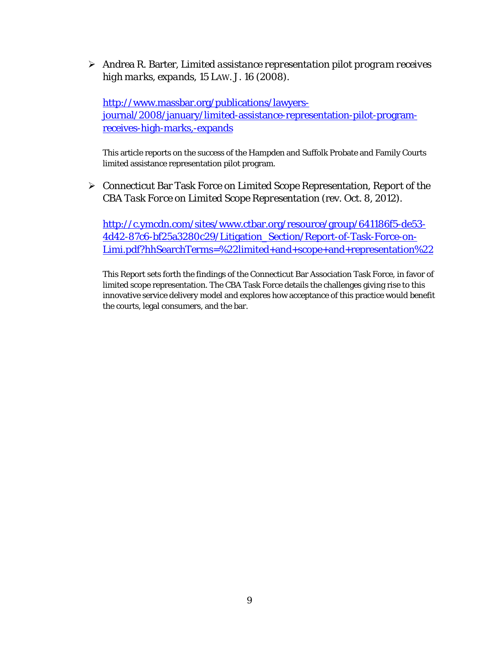Andrea R. Barter, *Limited assistance representation pilot program receives high marks, expands*, 15 LAW. J. 16 (2008).

[http://www.massbar.org/publications/lawyers](http://www.massbar.org/publications/lawyers-journal/2008/january/limited-assistance-representation-pilot-program-receives-high-marks,-expands)[journal/2008/january/limited-assistance-representation-pilot-program](http://www.massbar.org/publications/lawyers-journal/2008/january/limited-assistance-representation-pilot-program-receives-high-marks,-expands)[receives-high-marks,-expands](http://www.massbar.org/publications/lawyers-journal/2008/january/limited-assistance-representation-pilot-program-receives-high-marks,-expands)

This article reports on the success of the Hampden and Suffolk Probate and Family Courts limited assistance representation pilot program.

 Connecticut Bar Task Force on Limited Scope Representation, *Report of the CBA Task Force on Limited Scope Representation* (rev. Oct. 8, 2012).

[http://c.ymcdn.com/sites/www.ctbar.org/resource/group/641186f5-de53-](http://c.ymcdn.com/sites/www.ctbar.org/resource/group/641186f5-de53-4d42-87c6-bf25a3280c29/Litigation_Section/Report-of-Task-Force-on-Limi.pdf?hhSearchTerms=%22limited+and+scope+and+representation%22) [4d42-87c6-bf25a3280c29/Litigation\\_Section/Report-of-Task-Force-on-](http://c.ymcdn.com/sites/www.ctbar.org/resource/group/641186f5-de53-4d42-87c6-bf25a3280c29/Litigation_Section/Report-of-Task-Force-on-Limi.pdf?hhSearchTerms=%22limited+and+scope+and+representation%22)[Limi.pdf?hhSearchTerms=%22limited+and+scope+and+representation%22](http://c.ymcdn.com/sites/www.ctbar.org/resource/group/641186f5-de53-4d42-87c6-bf25a3280c29/Litigation_Section/Report-of-Task-Force-on-Limi.pdf?hhSearchTerms=%22limited+and+scope+and+representation%22)

This Report sets forth the findings of the Connecticut Bar Association Task Force, in favor of limited scope representation. The CBA Task Force details the challenges giving rise to this innovative service delivery model and explores how acceptance of this practice would benefit the courts, legal consumers, and the bar.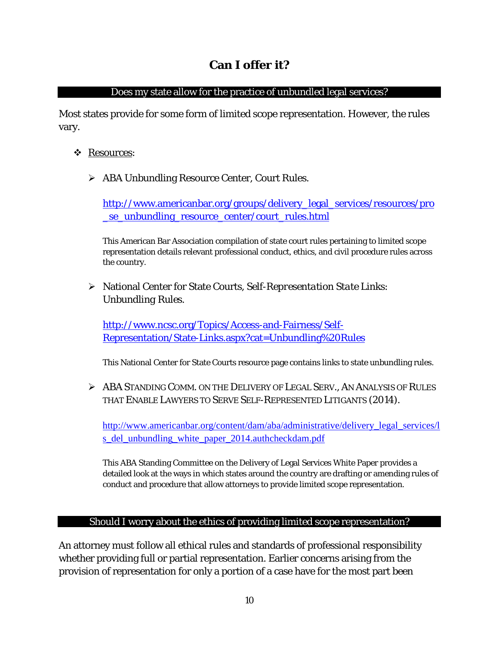## Does my state allow for the practice of unbundled legal services?

<span id="page-15-1"></span><span id="page-15-0"></span>Most states provide for some form of limited scope representation. However, the rules vary.

- Resources:
	- ABA Unbundling Resource Center, Court Rules.

[http://www.americanbar.org/groups/delivery\\_legal\\_services/resources/pro](http://www.americanbar.org/groups/delivery_legal_services/resources/pro_se_unbundling_resource_center/court_rules.html) [\\_se\\_unbundling\\_resource\\_center/court\\_rules.html](http://www.americanbar.org/groups/delivery_legal_services/resources/pro_se_unbundling_resource_center/court_rules.html)

This American Bar Association compilation of state court rules pertaining to limited scope representation details relevant professional conduct, ethics, and civil procedure rules across the country.

 National Center for State Courts, *Self-Representation State Links: Unbundling Rules*.

[http://www.ncsc.org/Topics/Access-and-Fairness/Self-](http://www.ncsc.org/Topics/Access-and-Fairness/Self-Representation/State-Links.aspx?cat=Unbundling%20Rules)[Representation/State-Links.aspx?cat=Unbundling%20Rules](http://www.ncsc.org/Topics/Access-and-Fairness/Self-Representation/State-Links.aspx?cat=Unbundling%20Rules)

This National Center for State Courts resource page contains links to state unbundling rules.

 $\triangleright$  ABA STANDING COMM. ON THE DELIVERY OF LEGAL SERV.. AN ANALYSIS OF RULES THAT ENABLE LAWYERS TO SERVE SELF-REPRESENTED LITIGANTS (2014).

[http://www.americanbar.org/content/dam/aba/administrative/delivery\\_legal\\_services/l](http://www.americanbar.org/content/dam/aba/administrative/delivery_legal_services/ls_del_unbundling_white_paper_2014.authcheckdam.pdf) s del unbundling white paper 2014.authcheckdam.pdf

This ABA Standing Committee on the Delivery of Legal Services White Paper provides a detailed look at the ways in which states around the country are drafting or amending rules of conduct and procedure that allow attorneys to provide limited scope representation.

## Should I worry about the ethics of providing limited scope representation?

<span id="page-15-2"></span>An attorney must follow all ethical rules and standards of professional responsibility whether providing full or partial representation. Earlier concerns arising from the provision of representation for only a portion of a case have for the most part been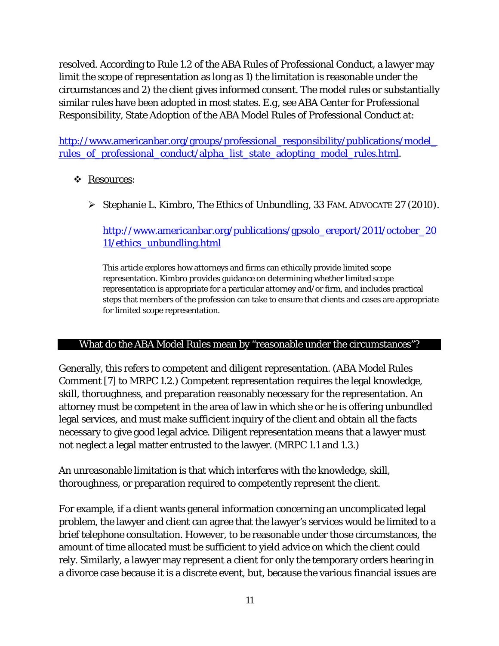resolved. According to Rule 1.2 of the ABA Rules of Professional Conduct, a lawyer may limit the scope of representation as long as 1) the limitation is reasonable under the circumstances and 2) the client gives informed consent. The model rules or substantially similar rules have been adopted in most states. *E.g, see* ABA Center for Professional Responsibility, State Adoption of the ABA Model Rules of Professional Conduct at:

http://www.americanbar.org/groups/professional\_responsibility/publications/model rules of professional conduct/alpha list state adopting model rules.html.

## Resources:

Stephanie L. Kimbro, *The Ethics of Unbundling*, 33 FAM. ADVOCATE 27 (2010).

## [http://www.americanbar.org/publications/gpsolo\\_ereport/2011/october\\_20](http://www.americanbar.org/publications/gpsolo_ereport/2011/october_2011/ethics_unbundling.html) [11/ethics\\_unbundling.html](http://www.americanbar.org/publications/gpsolo_ereport/2011/october_2011/ethics_unbundling.html)

This article explores how attorneys and firms can ethically provide limited scope representation. Kimbro provides guidance on determining whether limited scope representation is appropriate for a particular attorney and/or firm, and includes practical steps that members of the profession can take to ensure that clients and cases are appropriate for limited scope representation.

#### <span id="page-16-0"></span>What do the ABA Model Rules mean by "reasonable under the circumstances"?

Generally, this refers to competent and diligent representation. (ABA Model Rules Comment [7] to MRPC 1.2.) Competent representation requires the legal knowledge, skill, thoroughness, and preparation reasonably necessary for the representation. An attorney must be competent in the area of law in which she or he is offering unbundled legal services, and must make sufficient inquiry of the client and obtain all the facts necessary to give good legal advice. Diligent representation means that a lawyer must not neglect a legal matter entrusted to the lawyer. (MRPC 1.1 and 1.3.)

An unreasonable limitation is that which interferes with the knowledge, skill, thoroughness, or preparation required to competently represent the client.

For example, if a client wants general information concerning an uncomplicated legal problem, the lawyer and client can agree that the lawyer's services would be limited to a brief telephone consultation. However, to be reasonable under those circumstances, the amount of time allocated must be sufficient to yield advice on which the client could rely. Similarly, a lawyer may represent a client for only the temporary orders hearing in a divorce case because it is a discrete event, but, because the various financial issues are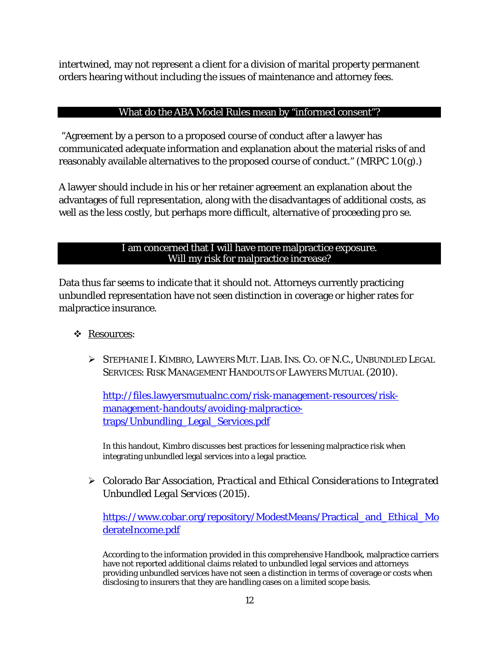intertwined, may not represent a client for a division of marital property permanent orders hearing without including the issues of maintenance and attorney fees.

## What do the ABA Model Rules mean by "informed consent"?

<span id="page-17-0"></span>"Agreement by a person to a proposed course of conduct after a lawyer has communicated adequate information and explanation about the material risks of and reasonably available alternatives to the proposed course of conduct." (MRPC 1.0(g).)

A lawyer should include in his or her retainer agreement an explanation about the advantages of full representation, along with the disadvantages of additional costs, as well as the less costly, but perhaps more difficult, alternative of proceeding *pro se*.

#### I am concerned that I will have more malpractice exposure. Will my risk for malpractice increase?

<span id="page-17-1"></span>Data thus far seems to indicate that it should not. Attorneys currently practicing unbundled representation have not seen distinction in coverage or higher rates for malpractice insurance.

- Resources:
	- STEPHANIE I. KIMBRO, LAWYERS MUT. LIAB.INS. CO. OF N.C., UNBUNDLED LEGAL SERVICES: RISK MANAGEMENT HANDOUTS OF LAWYERS MUTUAL (2010).

[http://files.lawyersmutualnc.com/risk-management-resources/risk](http://files.lawyersmutualnc.com/risk-management-resources/risk-management-handouts/avoiding-malpractice-traps/Unbundling_Legal_Services.pdf)[management-handouts/avoiding-malpractice](http://files.lawyersmutualnc.com/risk-management-resources/risk-management-handouts/avoiding-malpractice-traps/Unbundling_Legal_Services.pdf)[traps/Unbundling\\_Legal\\_Services.pdf](http://files.lawyersmutualnc.com/risk-management-resources/risk-management-handouts/avoiding-malpractice-traps/Unbundling_Legal_Services.pdf)

In this handout, Kimbro discusses best practices for lessening malpractice risk when integrating unbundled legal services into a legal practice.

 Colorado Bar Association, *Practical and Ethical Considerations to Integrated Unbundled Legal Services* (2015).

[https://www.cobar.org/repository/ModestMeans/Practical\\_and\\_Ethical\\_Mo](https://www.cobar.org/repository/ModestMeans/Practical_and_Ethical_ModerateIncome.pdf) [derateIncome.pdf](https://www.cobar.org/repository/ModestMeans/Practical_and_Ethical_ModerateIncome.pdf)

According to the information provided in this comprehensive Handbook, malpractice carriers have not reported additional claims related to unbundled legal services and attorneys providing unbundled services have not seen a distinction in terms of coverage or costs when disclosing to insurers that they are handling cases on a limited scope basis.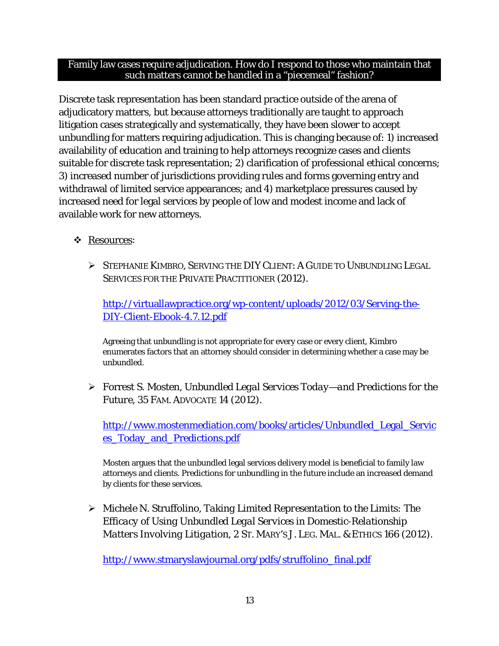#### <span id="page-18-0"></span>Family law cases require adjudication. How do I respond to those who maintain that such matters cannot be handled in a "piecemeal" fashion?

Discrete task representation has been standard practice outside of the arena of adjudicatory matters, but because attorneys traditionally are taught to approach litigation cases strategically and systematically, they have been slower to accept unbundling for matters requiring adjudication. This is changing because of: 1) increased availability of education and training to help attorneys recognize cases and clients suitable for discrete task representation; 2) clarification of professional ethical concerns; 3) increased number of jurisdictions providing rules and forms governing entry and withdrawal of limited service appearances; and 4) marketplace pressures caused by increased need for legal services by people of low and modest income and lack of available work for new attorneys.

## Resources:

 STEPHANIE KIMBRO, SERVING THE DIY CLIENT: A GUIDE TO UNBUNDLING LEGAL SERVICES FOR THE PRIVATE PRACTITIONER (2012).

[http://virtuallawpractice.org/wp-content/uploads/2012/03/Serving-the-](http://virtuallawpractice.org/wp-content/uploads/2012/03/Serving-the-DIY-Client-Ebook-4.7.12.pdf)[DIY-Client-Ebook-4.7.12.pdf](http://virtuallawpractice.org/wp-content/uploads/2012/03/Serving-the-DIY-Client-Ebook-4.7.12.pdf)

Agreeing that unbundling is not appropriate for every case or every client, Kimbro enumerates factors that an attorney should consider in determining whether a case may be unbundled.

 Forrest S. Mosten, *Unbundled Legal Services Today—and Predictions for the Future*, 35 FAM. ADVOCATE 14 (2012).

[http://www.mostenmediation.com/books/articles/Unbundled\\_Legal\\_Servic](http://www.mostenmediation.com/books/articles/Unbundled_Legal_Services_Today_and_Predictions.pdf) [es\\_Today\\_and\\_Predictions.pdf](http://www.mostenmediation.com/books/articles/Unbundled_Legal_Services_Today_and_Predictions.pdf)

Mosten argues that the unbundled legal services delivery model is beneficial to family law attorneys and clients. Predictions for unbundling in the future include an increased demand by clients for these services.

 Michele N. Struffolino, *Taking Limited Representation to the Limits: The Efficacy of Using Unbundled Legal Services in Domestic-Relationship Matters Involving Litigation*, 2 ST. MARY'S J. LEG. MAL. & ETHICS 166 (2012).

[http://www.stmaryslawjournal.org/pdfs/struffolino\\_final.pdf](http://www.stmaryslawjournal.org/pdfs/struffolino_final.pdf)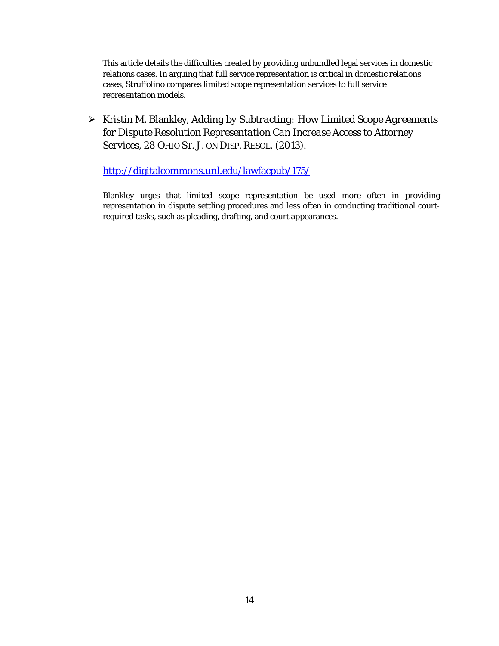This article details the difficulties created by providing unbundled legal services in domestic relations cases. In arguing that full service representation is critical in domestic relations cases, Struffolino compares limited scope representation services to full service representation models.

 Kristin M. Blankley, *Adding by Subtracting: How Limited Scope Agreements for Dispute Resolution Representation Can Increase Access to Attorney Services*, 28 OHIO ST. J. ON DISP. RESOL. (2013).

<http://digitalcommons.unl.edu/lawfacpub/175/>

Blankley urges that limited scope representation be used more often in providing representation in dispute settling procedures and less often in conducting traditional courtrequired tasks, such as pleading, drafting, and court appearances.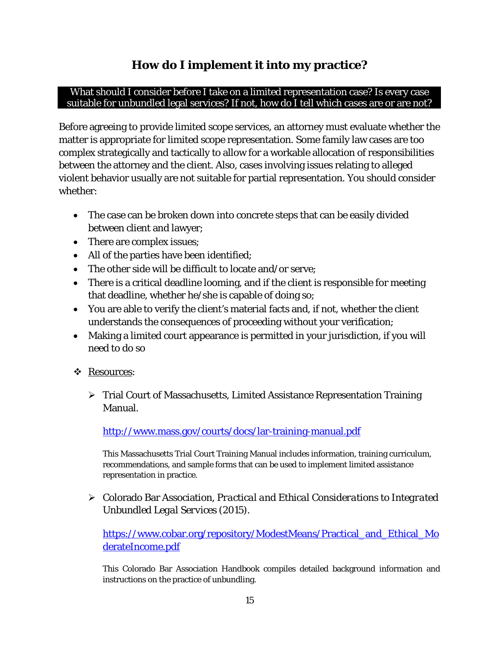# **How do I implement it into my practice?**

#### <span id="page-20-1"></span><span id="page-20-0"></span>What should I consider before I take on a limited representation case? Is every case suitable for unbundled legal services? If not, how do I tell which cases are or are not?

Before agreeing to provide limited scope services, an attorney must evaluate whether the matter is appropriate for limited scope representation. Some family law cases are too complex strategically and tactically to allow for a workable allocation of responsibilities between the attorney and the client. Also, cases involving issues relating to alleged violent behavior usually are not suitable for partial representation. You should consider whether:

- The case can be broken down into concrete steps that can be easily divided between client and lawyer;
- There are complex issues;
- All of the parties have been identified;
- The other side will be difficult to locate and/or serve;
- There is a critical deadline looming, and if the client is responsible for meeting that deadline, whether he/she is capable of doing so;
- You are able to verify the client's material facts and, if not, whether the client understands the consequences of proceeding without your verification;
- Making a limited court appearance is permitted in your jurisdiction, if you will need to do so
- \* Resources:
	- Trial Court of Massachusetts, Limited Assistance Representation Training Manual.

<http://www.mass.gov/courts/docs/lar-training-manual.pdf>

This Massachusetts Trial Court Training Manual includes information, training curriculum, recommendations, and sample forms that can be used to implement limited assistance representation in practice.

 Colorado Bar Association, *Practical and Ethical Considerations to Integrated Unbundled Legal Services* (2015).

[https://www.cobar.org/repository/ModestMeans/Practical\\_and\\_Ethical\\_Mo](https://www.cobar.org/repository/ModestMeans/Practical_and_Ethical_ModerateIncome.pdf) [derateIncome.pdf](https://www.cobar.org/repository/ModestMeans/Practical_and_Ethical_ModerateIncome.pdf)

This Colorado Bar Association Handbook compiles detailed background information and instructions on the practice of unbundling.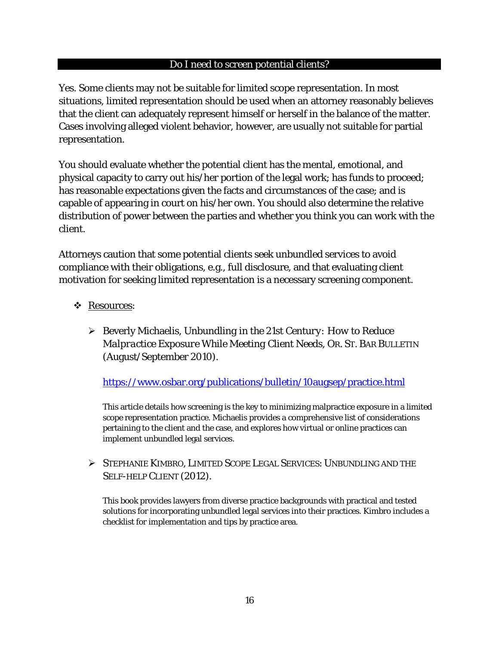#### Do I need to screen potential clients?

<span id="page-21-0"></span>Yes. Some clients may not be suitable for limited scope representation. In most situations, limited representation should be used when an attorney reasonably believes that the client can adequately represent himself or herself in the balance of the matter. Cases involving alleged violent behavior, however, are usually not suitable for partial representation.

You should evaluate whether the potential client has the mental, emotional, and physical capacity to carry out his/her portion of the legal work; has funds to proceed; has reasonable expectations given the facts and circumstances of the case; and is capable of appearing in court on his/her own. You should also determine the relative distribution of power between the parties and whether you think you can work with the client.

Attorneys caution that some potential clients seek unbundled services to avoid compliance with their obligations, e.g., full disclosure, and that evaluating client motivation for seeking limited representation is a necessary screening component.

## Resources:

 Beverly Michaelis, *Unbundling in the 21st Century: How to Reduce Malpractice Exposure While Meeting Client Needs*, OR. ST. BAR BULLETIN (August/September 2010).

<https://www.osbar.org/publications/bulletin/10augsep/practice.html>

This article details how screening is the key to minimizing malpractice exposure in a limited scope representation practice. Michaelis provides a comprehensive list of considerations pertaining to the client and the case, and explores how virtual or online practices can implement unbundled legal services.

 STEPHANIE KIMBRO, LIMITED SCOPE LEGAL SERVICES: UNBUNDLING AND THE SELF-HELP CLIENT (2012).

This book provides lawyers from diverse practice backgrounds with practical and tested solutions for incorporating unbundled legal services into their practices. Kimbro includes a checklist for implementation and tips by practice area.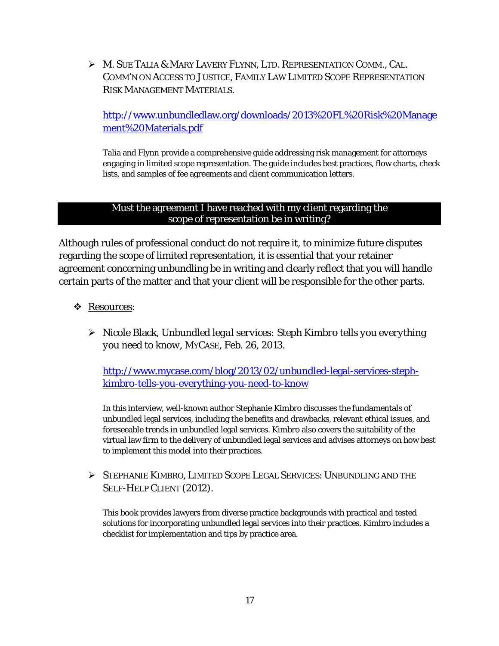M. SUE TALIA & MARY LAVERY FLYNN, LTD. REPRESENTATION COMM., CAL. COMM'N ON ACCESS TO JUSTICE, FAMILY LAW LIMITED SCOPE REPRESENTATION RISK MANAGEMENT MATERIALS.

[http://www.unbundledlaw.org/downloads/2013%20FL%20Risk%20Manage](http://www.unbundledlaw.org/downloads/2013%20FL%20Risk%20Management%20Materials.pdf) [ment%20Materials.pdf](http://www.unbundledlaw.org/downloads/2013%20FL%20Risk%20Management%20Materials.pdf)

Talia and Flynn provide a comprehensive guide addressing risk management for attorneys engaging in limited scope representation. The guide includes best practices, flow charts, check lists, and samples of fee agreements and client communication letters.

#### Must the agreement I have reached with my client regarding the scope of representation be in writing?

<span id="page-22-0"></span>Although rules of professional conduct do not require it, to minimize future disputes regarding the scope of limited representation, it is essential that your retainer agreement concerning unbundling be in writing and clearly reflect that you will handle certain parts of the matter and that your client will be responsible for the other parts.

- \* Resources:
	- Nicole Black, *Unbundled legal services: Steph Kimbro tells you everything you need to know*, MYCASE, Feb. 26, 2013.

[http://www.mycase.com/blog/2013/02/unbundled-legal-services-steph](http://www.mycase.com/blog/2013/02/unbundled-legal-services-steph-kimbro-tells-you-everything-you-need-to-know)[kimbro-tells-you-everything-you-need-to-know](http://www.mycase.com/blog/2013/02/unbundled-legal-services-steph-kimbro-tells-you-everything-you-need-to-know)

In this interview, well-known author Stephanie Kimbro discusses the fundamentals of unbundled legal services, including the benefits and drawbacks, relevant ethical issues, and foreseeable trends in unbundled legal services. Kimbro also covers the suitability of the virtual law firm to the delivery of unbundled legal services and advises attorneys on how best to implement this model into their practices.

 STEPHANIE KIMBRO, LIMITED SCOPE LEGAL SERVICES: UNBUNDLING AND THE SELF-HELP CLIENT (2012).

This book provides lawyers from diverse practice backgrounds with practical and tested solutions for incorporating unbundled legal services into their practices. Kimbro includes a checklist for implementation and tips by practice area.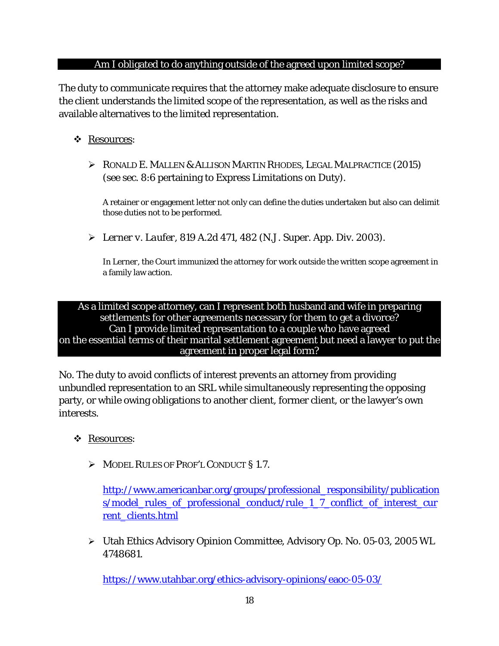### Am I obligated to do anything outside of the agreed upon limited scope?

<span id="page-23-0"></span>The duty to communicate requires that the attorney make adequate disclosure to ensure the client understands the limited scope of the representation, as well as the risks and available alternatives to the limited representation.

## Resources:

 $\triangleright$  RONALD E. MALLEN & ALLISON MARTIN RHODES, LEGAL MALPRACTICE (2015) (see sec. 8:6 pertaining to Express Limitations on Duty).

A retainer or engagement letter not only can define the duties undertaken but also can delimit those duties not to be performed.

*Lerner v. Laufer*, 819 A.2d 471, 482 (N.J. Super. App. Div. 2003).

In *Lerner*, the Court immunized the attorney for work outside the written scope agreement in a family law action.

<span id="page-23-1"></span>As a limited scope attorney, can I represent both husband and wife in preparing settlements for other agreements necessary for them to get a divorce? Can I provide limited representation to a couple who have agreed on the essential terms of their marital settlement agreement but need a lawyer to put the agreement in proper legal form?

No. The duty to avoid conflicts of interest prevents an attorney from providing unbundled representation to an SRL while simultaneously representing the opposing party, or while owing obligations to another client, former client, or the lawyer's own interests.

## Resources:

MODEL RULES OF PROF'L CONDUCT § 1.7.

[http://www.americanbar.org/groups/professional\\_responsibility/publication](http://www.americanbar.org/groups/professional_responsibility/publications/model_rules_of_professional_conduct/rule_1_7_conflict_of_interest_current_clients.html) [s/model\\_rules\\_of\\_professional\\_conduct/rule\\_1\\_7\\_conflict\\_of\\_interest\\_cur](http://www.americanbar.org/groups/professional_responsibility/publications/model_rules_of_professional_conduct/rule_1_7_conflict_of_interest_current_clients.html) [rent\\_clients.html](http://www.americanbar.org/groups/professional_responsibility/publications/model_rules_of_professional_conduct/rule_1_7_conflict_of_interest_current_clients.html)

 Utah Ethics Advisory Opinion Committee, Advisory Op. No. 05-03, 2005 WL 4748681.

<https://www.utahbar.org/ethics-advisory-opinions/eaoc-05-03/>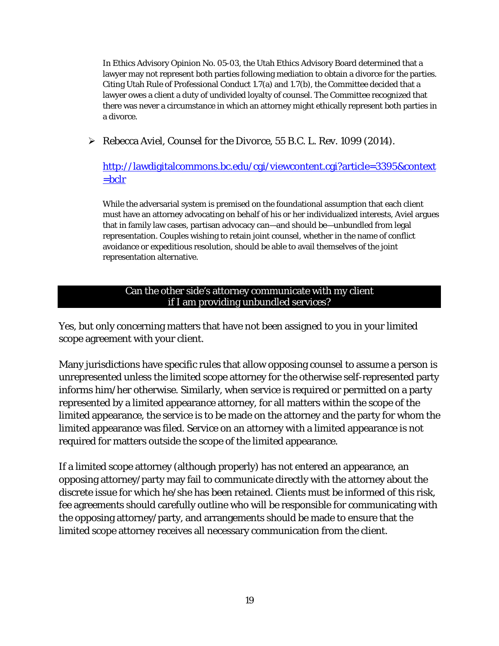In Ethics Advisory Opinion No. 05-03, the Utah Ethics Advisory Board determined that a lawyer may not represent both parties following mediation to obtain a divorce for the parties. Citing Utah Rule of Professional Conduct 1.7(a) and 1.7(b), the Committee decided that a lawyer owes a client a duty of undivided loyalty of counsel. The Committee recognized that there was never a circumstance in which an attorney might ethically represent both parties in a divorce.

Rebecca Aviel, *Counsel for the Divorce*, 55 B.C. L. Rev. 1099 (2014).

[http://lawdigitalcommons.bc.edu/cgi/viewcontent.cgi?article=3395&context](http://lawdigitalcommons.bc.edu/cgi/viewcontent.cgi?article=3395&context=bclr)  $=$ bclr

While the adversarial system is premised on the foundational assumption that each client must have an attorney advocating on behalf of his or her individualized interests, Aviel argues that in family law cases, partisan advocacy can—and should be—unbundled from legal representation. Couples wishing to retain joint counsel, whether in the name of conflict avoidance or expeditious resolution, should be able to avail themselves of the joint representation alternative.

### Can the other side's attorney communicate with my client if I am providing unbundled services?

<span id="page-24-0"></span>Yes, but only concerning matters that have not been assigned to you in your limited scope agreement with your client.

Many jurisdictions have specific rules that allow opposing counsel to assume a person is unrepresented unless the limited scope attorney for the otherwise self-represented party informs him/her otherwise. Similarly, when service is required or permitted on a party represented by a limited appearance attorney, for all matters within the scope of the limited appearance, the service is to be made on the attorney and the party for whom the limited appearance was filed. Service on an attorney with a limited appearance is not required for matters outside the scope of the limited appearance.

If a limited scope attorney (although properly) has not entered an appearance, an opposing attorney/party may fail to communicate directly with the attorney about the discrete issue for which he/she has been retained. Clients must be informed of this risk, fee agreements should carefully outline who will be responsible for communicating with the opposing attorney/party, and arrangements should be made to ensure that the limited scope attorney receives all necessary communication from the client.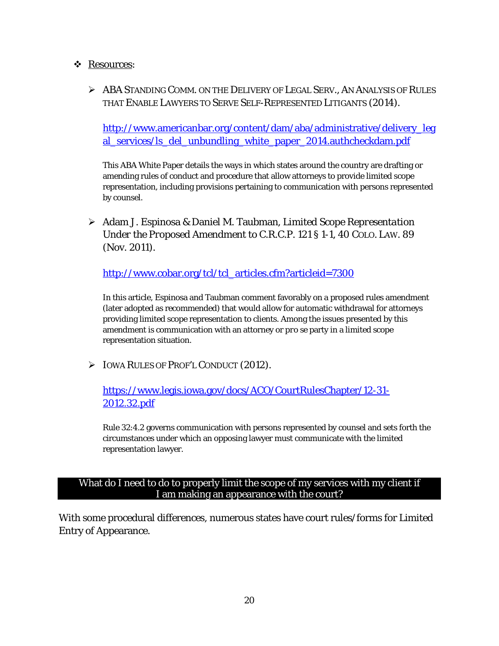#### Resources:

 ABA STANDING COMM. ON THE DELIVERY OF LEGAL SERV., AN ANALYSIS OF RULES THAT ENABLE LAWYERS TO SERVE SELF-REPRESENTED LITIGANTS (2014).

[http://www.americanbar.org/content/dam/aba/administrative/delivery\\_leg](http://www.americanbar.org/content/dam/aba/administrative/delivery_legal_services/ls_del_unbundling_white_paper_2014.authcheckdam.pdf) al services/ls del unbundling white paper 2014.authcheckdam.pdf

This ABA White Paper details the ways in which states around the country are drafting or amending rules of conduct and procedure that allow attorneys to provide limited scope representation, including provisions pertaining to communication with persons represented by counsel.

 Adam J. Espinosa & Daniel M. Taubman, *Limited Scope Representation Under the Proposed Amendment to C.R.C.P. 121 § 1-1*, 40 COLO. LAW. 89 (Nov. 2011).

[http://www.cobar.org/tcl/tcl\\_articles.cfm?articleid=7300](http://www.cobar.org/tcl/tcl_articles.cfm?articleid=7300)

In this article, Espinosa and Taubman comment favorably on a proposed rules amendment (later adopted as recommended) that would allow for automatic withdrawal for attorneys providing limited scope representation to clients. Among the issues presented by this amendment is communication with an attorney or *pro se* party in a limited scope representation situation.

**IOWA RULES OF PROF'L CONDUCT (2012).** 

[https://www.legis.iowa.gov/docs/ACO/CourtRulesChapter/12-31-](https://www.legis.iowa.gov/docs/ACO/CourtRulesChapter/12-31-2012.32.pdf) [2012.32.pdf](https://www.legis.iowa.gov/docs/ACO/CourtRulesChapter/12-31-2012.32.pdf)

Rule 32:4.2 governs communication with persons represented by counsel and sets forth the circumstances under which an opposing lawyer must communicate with the limited representation lawyer.

#### <span id="page-25-0"></span>What do I need to do to properly limit the scope of my services with my client if I am making an appearance with the court?

With some procedural differences, numerous states have court rules/forms for Limited Entry of Appearance.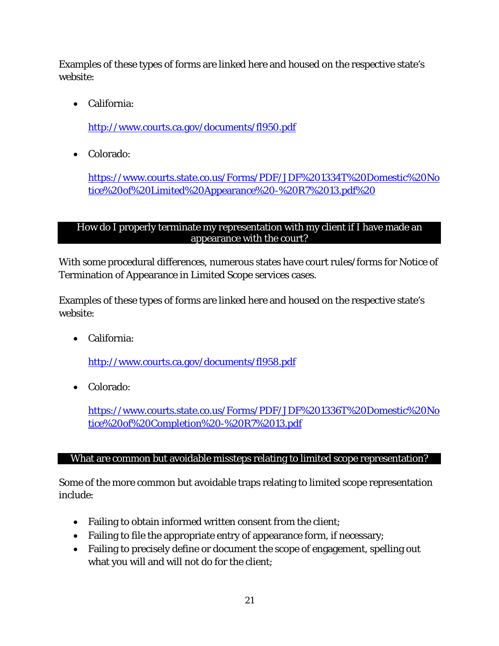Examples of these types of forms are linked here and housed on the respective state's website:

• California:

<http://www.courts.ca.gov/documents/fl950.pdf>

• Colorado:

[https://www.courts.state.co.us/Forms/PDF/JDF%201334T%20Domestic%20No](https://www.courts.state.co.us/Forms/PDF/JDF%201334T%20Domestic%20Notice%20of%20Limited%20Appearance%20-%20R7%2013.pdf) [tice%20of%20Limited%20Appearance%20-%20R7%2013.pdf%20](https://www.courts.state.co.us/Forms/PDF/JDF%201334T%20Domestic%20Notice%20of%20Limited%20Appearance%20-%20R7%2013.pdf)

## <span id="page-26-0"></span>How do I properly terminate my representation with my client if I have made an appearance with the court?

With some procedural differences, numerous states have court rules/forms for Notice of Termination of Appearance in Limited Scope services cases.

Examples of these types of forms are linked here and housed on the respective state's website:

• California:

<http://www.courts.ca.gov/documents/fl958.pdf>

• Colorado:

[https://www.courts.state.co.us/Forms/PDF/JDF%201336T%20Domestic%20No](https://www.courts.state.co.us/Forms/PDF/JDF%201336T%20Domestic%20Notice%20of%20Completion%20-%20R7%2013.pdf) [tice%20of%20Completion%20-%20R7%2013.pdf](https://www.courts.state.co.us/Forms/PDF/JDF%201336T%20Domestic%20Notice%20of%20Completion%20-%20R7%2013.pdf)

## <span id="page-26-1"></span>What are common but avoidable missteps relating to limited scope representation?

Some of the more common but avoidable traps relating to limited scope representation include:

- Failing to obtain informed written consent from the client;
- Failing to file the appropriate entry of appearance form, if necessary;
- Failing to precisely define or document the scope of engagement, spelling out what you will and will not do for the client;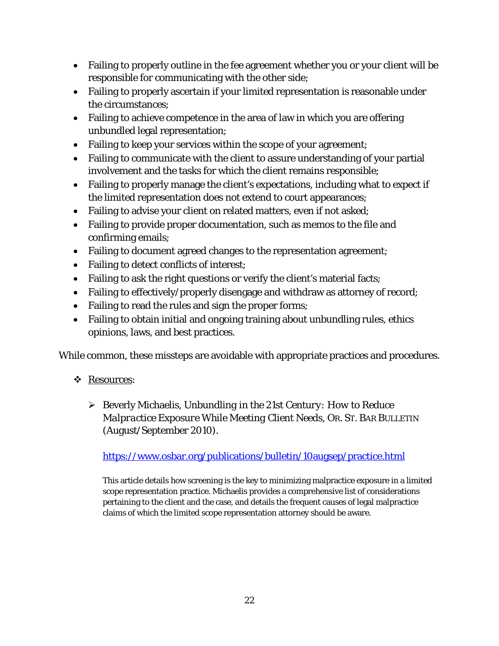- Failing to properly outline in the fee agreement whether you or your client will be responsible for communicating with the other side;
- Failing to properly ascertain if your limited representation is reasonable under the circumstances;
- Failing to achieve competence in the area of law in which you are offering unbundled legal representation;
- Failing to keep your services within the scope of your agreement;
- Failing to communicate with the client to assure understanding of your partial involvement and the tasks for which the client remains responsible;
- Failing to properly manage the client's expectations, including what to expect if the limited representation does not extend to court appearances;
- Failing to advise your client on related matters, even if not asked;
- Failing to provide proper documentation, such as memos to the file and confirming emails;
- Failing to document agreed changes to the representation agreement;
- Failing to detect conflicts of interest;
- Failing to ask the right questions or verify the client's material facts;
- Failing to effectively/properly disengage and withdraw as attorney of record;
- Failing to read the rules and sign the proper forms;
- Failing to obtain initial and ongoing training about unbundling rules, ethics opinions, laws, and best practices.

While common, these missteps are avoidable with appropriate practices and procedures.

- Resources:
	- Beverly Michaelis, *Unbundling in the 21st Century: How to Reduce Malpractice Exposure While Meeting Client Needs*, OR. ST. BAR BULLETIN (August/September 2010).

<https://www.osbar.org/publications/bulletin/10augsep/practice.html>

This article details how screening is the key to minimizing malpractice exposure in a limited scope representation practice. Michaelis provides a comprehensive list of considerations pertaining to the client and the case, and details the frequent causes of legal malpractice claims of which the limited scope representation attorney should be aware.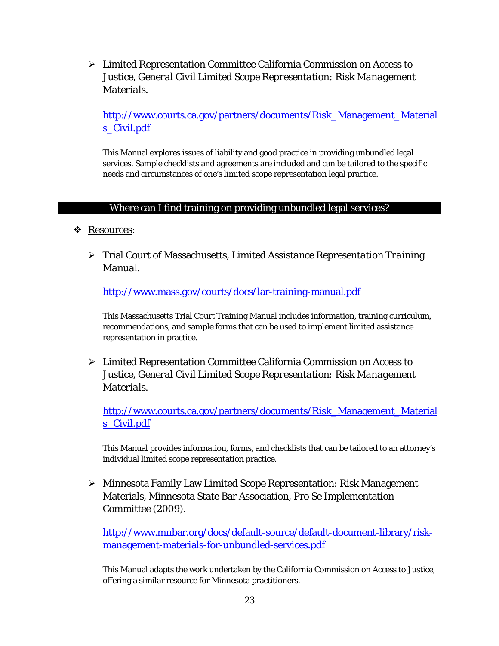Limited Representation Committee California Commission on Access to Justice, *General Civil Limited Scope Representation: Risk Management Materials*.

[http://www.courts.ca.gov/partners/documents/Risk\\_Management\\_Material](http://www.courts.ca.gov/partners/documents/Risk_Management_Materials_Civil.pdf) [s\\_Civil.pdf](http://www.courts.ca.gov/partners/documents/Risk_Management_Materials_Civil.pdf)

This Manual explores issues of liability and good practice in providing unbundled legal services. Sample checklists and agreements are included and can be tailored to the specific needs and circumstances of one's limited scope representation legal practice.

#### Where can I find training on providing unbundled legal services?

- <span id="page-28-0"></span>\* Resources:
	- Trial Court of Massachusetts, *Limited Assistance Representation Training Manual.*

<http://www.mass.gov/courts/docs/lar-training-manual.pdf>

This Massachusetts Trial Court Training Manual includes information, training curriculum, recommendations, and sample forms that can be used to implement limited assistance representation in practice.

 Limited Representation Committee California Commission on Access to Justice, *General Civil Limited Scope Representation: Risk Management Materials*.

[http://www.courts.ca.gov/partners/documents/Risk\\_Management\\_Material](http://www.courts.ca.gov/partners/documents/Risk_Management_Materials_Civil.pdf) [s\\_Civil.pdf](http://www.courts.ca.gov/partners/documents/Risk_Management_Materials_Civil.pdf)

This Manual provides information, forms, and checklists that can be tailored to an attorney's individual limited scope representation practice.

 Minnesota Family Law Limited Scope Representation: Risk Management Materials, Minnesota State Bar Association, Pro Se Implementation Committee (2009).

[http://www.mnbar.org/docs/default-source/default-document-library/risk](http://www.mnbar.org/docs/default-source/default-document-library/risk-management-materials-for-unbundled-services.pdf)[management-materials-for-unbundled-services.pdf](http://www.mnbar.org/docs/default-source/default-document-library/risk-management-materials-for-unbundled-services.pdf)

This Manual adapts the work undertaken by the California Commission on Access to Justice, offering a similar resource for Minnesota practitioners.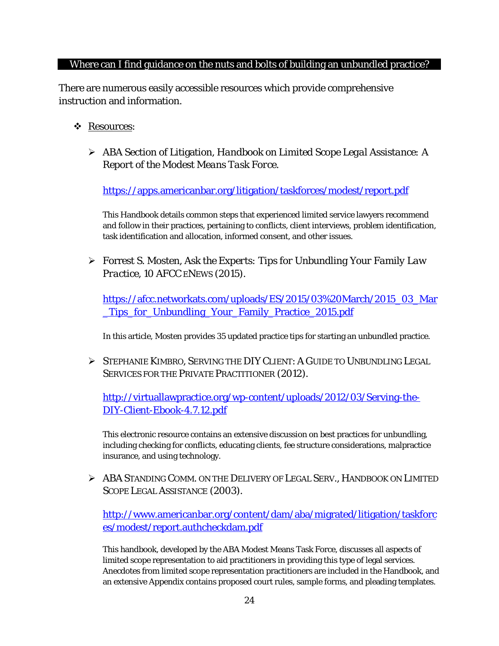#### <span id="page-29-0"></span>Where can I find guidance on the nuts and bolts of building an unbundled practice?

There are numerous easily accessible resources which provide comprehensive instruction and information.

- Resources:
	- ABA Section of Litigation, *Handbook on Limited Scope Legal Assistance: A Report of the Modest Means Task Force*.

<https://apps.americanbar.org/litigation/taskforces/modest/report.pdf>

This Handbook details common steps that experienced limited service lawyers recommend and follow in their practices, pertaining to conflicts, client interviews, problem identification, task identification and allocation, informed consent, and other issues.

 Forrest S. Mosten, *Ask the Experts: Tips for Unbundling Your Family Law Practice*, 10 AFCC ENEWS (2015).

[https://afcc.networkats.com/uploads/ES/2015/03%20March/2015\\_03\\_Mar](https://afcc.networkats.com/uploads/ES/2015/03%20March/2015_03_Mar_Tips_for_Unbundling_Your_Family_Practice_2015.pdf) [\\_Tips\\_for\\_Unbundling\\_Your\\_Family\\_Practice\\_2015.pdf](https://afcc.networkats.com/uploads/ES/2015/03%20March/2015_03_Mar_Tips_for_Unbundling_Your_Family_Practice_2015.pdf)

In this article, Mosten provides 35 updated practice tips for starting an unbundled practice.

 STEPHANIE KIMBRO, SERVING THE DIY CLIENT: A GUIDE TO UNBUNDLING LEGAL SERVICES FOR THE PRIVATE PRACTITIONER (2012).

[http://virtuallawpractice.org/wp-content/uploads/2012/03/Serving-the-](http://virtuallawpractice.org/wp-content/uploads/2012/03/Serving-the-DIY-Client-Ebook-4.7.12.pdf)[DIY-Client-Ebook-4.7.12.pdf](http://virtuallawpractice.org/wp-content/uploads/2012/03/Serving-the-DIY-Client-Ebook-4.7.12.pdf)

This electronic resource contains an extensive discussion on best practices for unbundling, including checking for conflicts, educating clients, fee structure considerations, malpractice insurance, and using technology.

 ABA STANDING COMM. ON THE DELIVERY OF LEGAL SERV., HANDBOOK ON LIMITED SCOPE LEGAL ASSISTANCE (2003).

[http://www.americanbar.org/content/dam/aba/migrated/litigation/taskforc](http://www.americanbar.org/content/dam/aba/migrated/litigation/taskforces/modest/report.authcheckdam.pdf) [es/modest/report.authcheckdam.pdf](http://www.americanbar.org/content/dam/aba/migrated/litigation/taskforces/modest/report.authcheckdam.pdf)

This handbook, developed by the ABA Modest Means Task Force, discusses all aspects of limited scope representation to aid practitioners in providing this type of legal services. Anecdotes from limited scope representation practitioners are included in the Handbook, and an extensive Appendix contains proposed court rules, sample forms, and pleading templates.